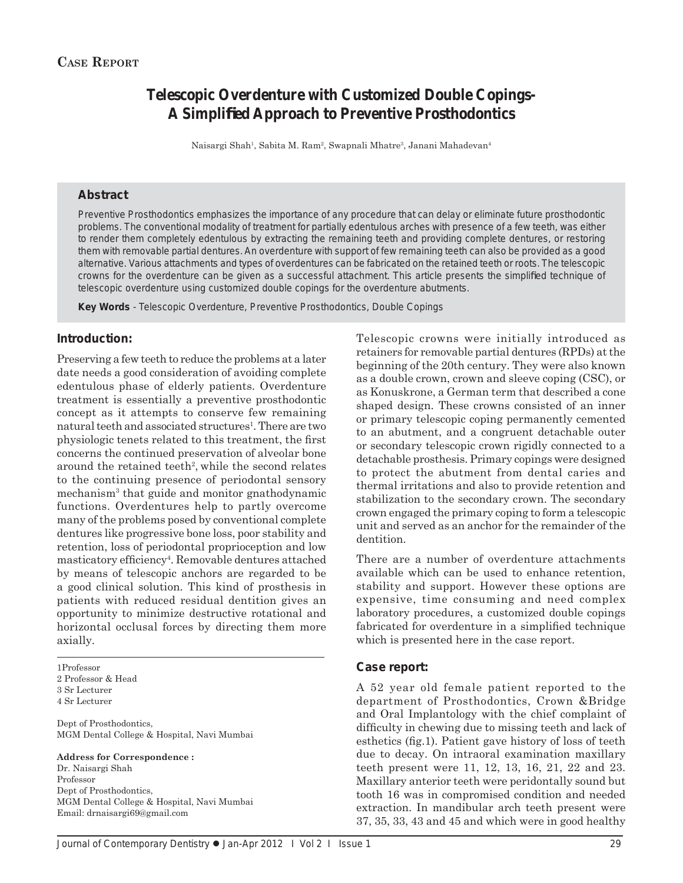# **Telescopic Overdenture with Customized Double Copings-A Simplifi ed Approach to Preventive Prosthodontics**

Naisargi Shah<sup>1</sup>, Sabita M. Ram<sup>2</sup>, Swapnali Mhatre<sup>3</sup>, Janani Mahadevan<sup>4</sup>

#### **Abstract**

Preventive Prosthodontics emphasizes the importance of any procedure that can delay or eliminate future prosthodontic problems. The conventional modality of treatment for partially edentulous arches with presence of a few teeth, was either to render them completely edentulous by extracting the remaining teeth and providing complete dentures, or restoring them with removable partial dentures. An overdenture with support of few remaining teeth can also be provided as a good alternative. Various attachments and types of overdentures can be fabricated on the retained teeth or roots. The telescopic crowns for the overdenture can be given as a successful attachment. This article presents the simplified technique of telescopic overdenture using customized double copings for the overdenture abutments.

*Key Words* - Telescopic Overdenture, Preventive Prosthodontics, Double Copings

### **Introduction:**

Preserving a few teeth to reduce the problems at a later date needs a good consideration of avoiding complete edentulous phase of elderly patients. Overdenture treatment is essentially a preventive prosthodontic concept as it attempts to conserve few remaining natural teeth and associated structures<sup>1</sup>. There are two physiologic tenets related to this treatment, the first concerns the continued preservation of alveolar bone around the retained teeth<sup>2</sup>, while the second relates to the continuing presence of periodontal sensory mechanism3 that guide and monitor gnathodynamic functions. Overdentures help to partly overcome many of the problems posed by conventional complete dentures like progressive bone loss, poor stability and retention, loss of periodontal proprioception and low masticatory efficiency<sup>4</sup>. Removable dentures attached by means of telescopic anchors are regarded to be a good clinical solution. This kind of prosthesis in patients with reduced residual dentition gives an opportunity to minimize destructive rotational and horizontal occlusal forces by directing them more axially.

1Professor 2 Professor & Head 3 Sr Lecturer 4 Sr Lecturer

Dept of Prosthodontics, MGM Dental College & Hospital, Navi Mumbai

#### **Address for Correspondence :**

Dr. Naisargi Shah Professor Dept of Prosthodontics, MGM Dental College & Hospital, Navi Mumbai Email: drnaisargi69@gmail.com

Telescopic crowns were initially introduced as retainers for removable partial dentures (RPDs) at the beginning of the 20th century. They were also known as a double crown, crown and sleeve coping (CSC), or as Konuskrone, a German term that described a cone shaped design. These crowns consisted of an inner or primary telescopic coping permanently cemented to an abutment, and a congruent detachable outer or secondary telescopic crown rigidly connected to a detachable prosthesis. Primary copings were designed to protect the abutment from dental caries and thermal irritations and also to provide retention and stabilization to the secondary crown. The secondary crown engaged the primary coping to form a telescopic unit and served as an anchor for the remainder of the dentition.

There are a number of overdenture attachments available which can be used to enhance retention, stability and support. However these options are expensive, time consuming and need complex laboratory procedures, a customized double copings fabricated for overdenture in a simplified technique which is presented here in the case report.

#### **Case report:**

A 52 year old female patient reported to the department of Prosthodontics, Crown &Bridge and Oral Implantology with the chief complaint of difficulty in chewing due to missing teeth and lack of esthetics (fig.1). Patient gave history of loss of teeth due to decay. On intraoral examination maxillary teeth present were 11, 12, 13, 16, 21, 22 and 23. Maxillary anterior teeth were peridontally sound but tooth 16 was in compromised condition and needed extraction. In mandibular arch teeth present were 37, 35, 33, 43 and 45 and which were in good healthy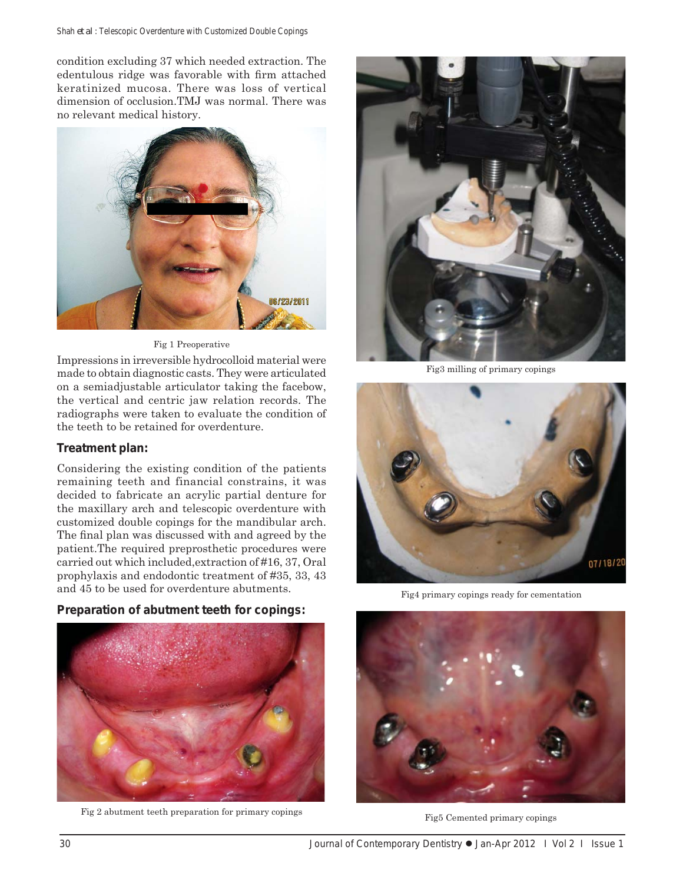condition excluding 37 which needed extraction. The edentulous ridge was favorable with firm attached keratinized mucosa. There was loss of vertical dimension of occlusion.TMJ was normal. There was no relevant medical history.



#### Fig 1 Preoperative

Impressions in irreversible hydrocolloid material were made to obtain diagnostic casts. They were articulated on a semiadjustable articulator taking the facebow, the vertical and centric jaw relation records. The radiographs were taken to evaluate the condition of the teeth to be retained for overdenture.

# **Treatment plan:**

Considering the existing condition of the patients remaining teeth and financial constrains, it was decided to fabricate an acrylic partial denture for the maxillary arch and telescopic overdenture with customized double copings for the mandibular arch. The final plan was discussed with and agreed by the patient.The required preprosthetic procedures were carried out which included,extraction of #16, 37, Oral prophylaxis and endodontic treatment of #35, 33, 43 and 45 to be used for overdenture abutments.

# **Preparation of abutment teeth for copings:**



Fig 2 abutment teeth preparation for primary copings



Fig3 milling of primary copings



Fig4 primary copings ready for cementation



Fig5 Cemented primary copings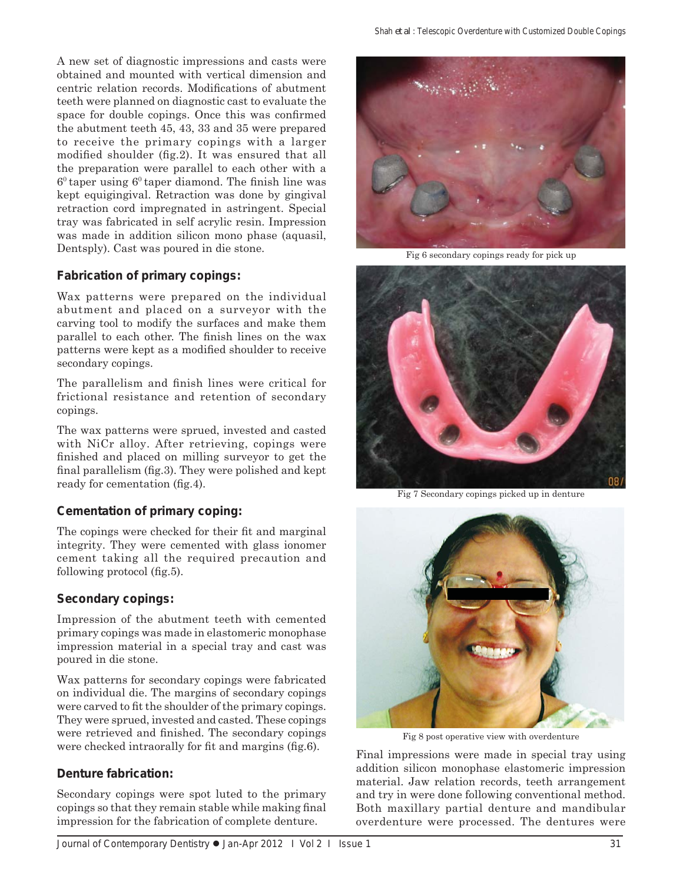A new set of diagnostic impressions and casts were obtained and mounted with vertical dimension and centric relation records. Modifications of abutment teeth were planned on diagnostic cast to evaluate the space for double copings. Once this was confirmed the abutment teeth 45, 43, 33 and 35 were prepared to receive the primary copings with a larger modified shoulder (fig.2). It was ensured that all the preparation were parallel to each other with a  $6<sup>0</sup>$  taper using  $6<sup>0</sup>$  taper diamond. The finish line was kept equigingival. Retraction was done by gingival retraction cord impregnated in astringent. Special tray was fabricated in self acrylic resin. Impression was made in addition silicon mono phase (aquasil, Dentsply). Cast was poured in die stone.

# **Fabrication of primary copings:**

Wax patterns were prepared on the individual abutment and placed on a surveyor with the carving tool to modify the surfaces and make them parallel to each other. The finish lines on the wax patterns were kept as a modified shoulder to receive secondary copings.

The parallelism and finish lines were critical for frictional resistance and retention of secondary copings.

The wax patterns were sprued, invested and casted with NiCr alloy. After retrieving, copings were finished and placed on milling surveyor to get the final parallelism (fig.3). They were polished and kept ready for cementation (fig.4).

# **Cementation of primary coping:**

The copings were checked for their fit and marginal integrity. They were cemented with glass ionomer cement taking all the required precaution and following protocol  $(f_1, f_2)$ .

# **Secondary copings:**

Impression of the abutment teeth with cemented primary copings was made in elastomeric monophase impression material in a special tray and cast was poured in die stone.

Wax patterns for secondary copings were fabricated on individual die. The margins of secondary copings were carved to fit the shoulder of the primary copings. They were sprued, invested and casted. These copings were retrieved and finished. The secondary copings were checked intraorally for fit and margins (fig.6).

# **Denture fabrication:**

Secondary copings were spot luted to the primary copings so that they remain stable while making final impression for the fabrication of complete denture.



Fig 6 secondary copings ready for pick up



Fig 7 Secondary copings picked up in denture



Fig 8 post operative view with overdenture

Final impressions were made in special tray using addition silicon monophase elastomeric impression material. Jaw relation records, teeth arrangement and try in were done following conventional method. Both maxillary partial denture and mandibular overdenture were processed. The dentures were